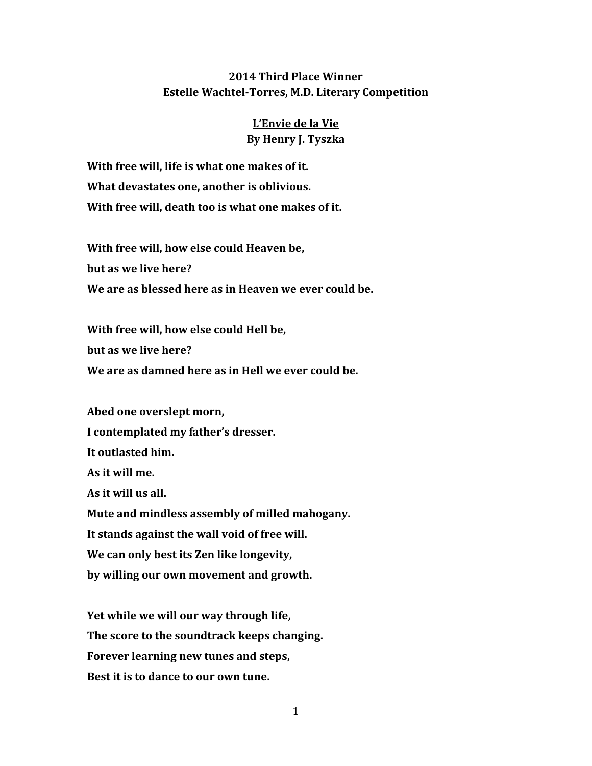## **2014 Third Place Winner Estelle Wachtel-Torres, M.D. Literary Competition**

## **L'Envie de la Vie By Henry J. Tyszka**

**With free will, life is what one makes of it. What devastates one, another is oblivious. With free will, death too is what one makes of it.**

**With free will, how else could Heaven be, but as we live here? We are as blessed here as in Heaven we ever could be.**

**With free will, how else could Hell be, but as we live here? We are as damned here as in Hell we ever could be.**

**Abed one overslept morn, I contemplated my father's dresser. It outlasted him. As it will me. As it will us all. Mute and mindless assembly of milled mahogany. It stands against the wall void of free will. We can only best its Zen like longevity, by willing our own movement and growth.**

**Yet while we will our way through life, The score to the soundtrack keeps changing. Forever learning new tunes and steps, Best it is to dance to our own tune.**